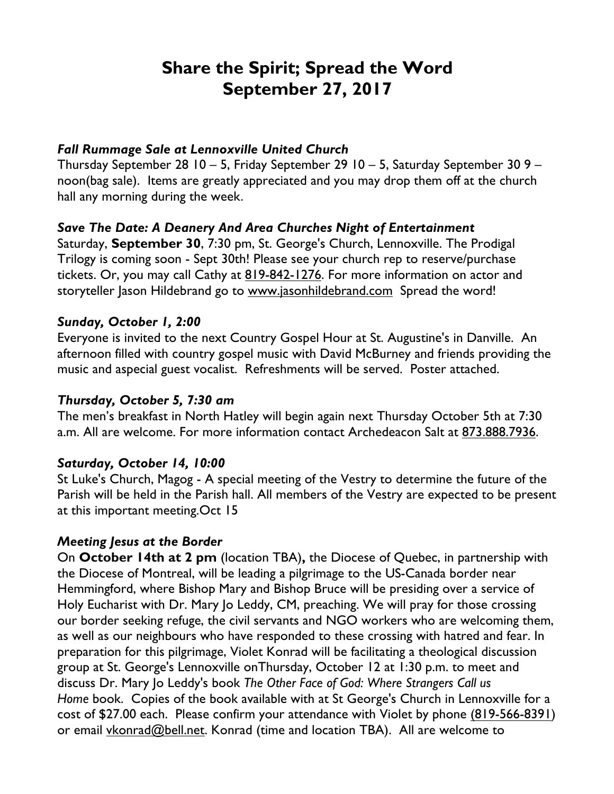# **Share the Spirit; Spread the Word September 27, 2017**

#### *Fall Rummage Sale at Lennoxville United Church*

Thursday September 28 10 – 5, Friday September 29 10 – 5, Saturday September 30 9 – noon(bag sale). Items are greatly appreciated and you may drop them off at the church hall any morning during the week.

## *Save The Date: A Deanery And Area Churches Night of Entertainment*

Saturday, **September 30**, 7:30 pm, St. George's Church, Lennoxville. The Prodigal Trilogy is coming soon - Sept 30th! Please see your church rep to reserve/purchase tickets. Or, you may call Cathy at 819-842-1276. For more information on actor and storyteller Jason Hildebrand go to www.jasonhildebrand.com Spread the word!

## *Sunday, October 1, 2:00*

Everyone is invited to the next Country Gospel Hour at St. Augustine's in Danville. An afternoon filled with country gospel music with David McBurney and friends providing the music and aspecial guest vocalist. Refreshments will be served. Poster attached.

## *Thursday, October 5, 7:30 am*

The men's breakfast in North Hatley will begin again next Thursday October 5th at 7:30 a.m. All are welcome. For more information contact Archedeacon Salt at 873.888.7936.

## *Saturday, October 14, 10:00*

St Luke's Church, Magog - A special meeting of the Vestry to determine the future of the Parish will be held in the Parish hall. All members of the Vestry are expected to be present at this important meeting.Oct 15

## *Meeting Jesus at the Border*

On **October 14th at 2 pm** (location TBA)**,** the Diocese of Quebec, in partnership with the Diocese of Montreal, will be leading a pilgrimage to the US-Canada border near Hemmingford, where Bishop Mary and Bishop Bruce will be presiding over a service of Holy Eucharist with Dr. Mary Jo Leddy, CM, preaching. We will pray for those crossing our border seeking refuge, the civil servants and NGO workers who are welcoming them, as well as our neighbours who have responded to these crossing with hatred and fear. In preparation for this pilgrimage, Violet Konrad will be facilitating a theological discussion group at St. George's Lennoxville onThursday, October 12 at 1:30 p.m. to meet and discuss Dr. Mary Jo Leddy's book *The Other Face of God: Where Strangers Call us Home* book. Copies of the book available with at St George's Church in Lennoxville for a cost of \$27.00 each. Please confirm your attendance with Violet by phone (819-566-8391) or email vkonrad@bell.net. Konrad (time and location TBA). All are welcome to